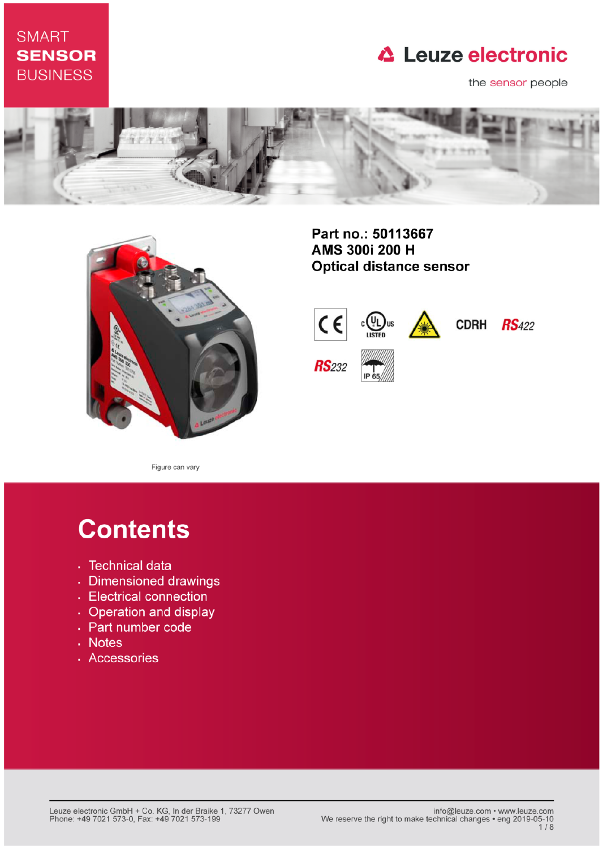# **SMART SENSOR BUSINESS**

# **△ Leuze electronic**

the sensor people





Part no.: 50113667 AMS 300i 200 H **Optical distance sensor** 



Figure can vary

# **Contents**

- · Technical data
- · Dimensioned drawings
- Electrical connection
- Operation and display
- Part number code
- . Notes
- · Accessories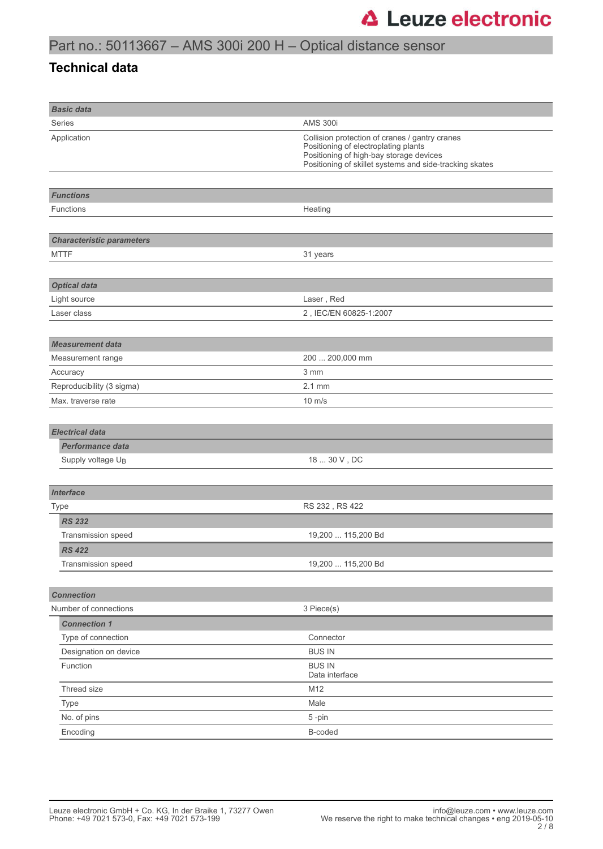# Part no.: 50113667 – AMS 300i 200 H – Optical distance sensor

### **Technical data**

| <b>Basic data</b>                |                                                                                                                                                                                              |  |  |
|----------------------------------|----------------------------------------------------------------------------------------------------------------------------------------------------------------------------------------------|--|--|
| Series                           | <b>AMS 300i</b>                                                                                                                                                                              |  |  |
| Application                      | Collision protection of cranes / gantry cranes<br>Positioning of electroplating plants<br>Positioning of high-bay storage devices<br>Positioning of skillet systems and side-tracking skates |  |  |
|                                  |                                                                                                                                                                                              |  |  |
| <b>Functions</b>                 |                                                                                                                                                                                              |  |  |
| <b>Functions</b>                 | Heating                                                                                                                                                                                      |  |  |
|                                  |                                                                                                                                                                                              |  |  |
| <b>Characteristic parameters</b> |                                                                                                                                                                                              |  |  |
| <b>MTTF</b>                      | 31 years                                                                                                                                                                                     |  |  |
|                                  |                                                                                                                                                                                              |  |  |
| <b>Optical data</b>              |                                                                                                                                                                                              |  |  |
| Light source                     | Laser, Red                                                                                                                                                                                   |  |  |
| Laser class                      | 2, IEC/EN 60825-1:2007                                                                                                                                                                       |  |  |
|                                  |                                                                                                                                                                                              |  |  |
| <b>Measurement data</b>          |                                                                                                                                                                                              |  |  |
| Measurement range                | 200  200,000 mm                                                                                                                                                                              |  |  |
| Accuracy                         | 3 mm                                                                                                                                                                                         |  |  |
| Reproducibility (3 sigma)        | $2.1$ mm                                                                                                                                                                                     |  |  |
| Max. traverse rate               | $10 \text{ m/s}$                                                                                                                                                                             |  |  |
|                                  |                                                                                                                                                                                              |  |  |
| <b>Electrical data</b>           |                                                                                                                                                                                              |  |  |
| <b>Performance data</b>          |                                                                                                                                                                                              |  |  |
| Supply voltage U <sub>B</sub>    | 18  30 V, DC                                                                                                                                                                                 |  |  |
|                                  |                                                                                                                                                                                              |  |  |
| <b>Interface</b>                 |                                                                                                                                                                                              |  |  |
| Type                             | RS 232, RS 422                                                                                                                                                                               |  |  |
| <b>RS 232</b>                    |                                                                                                                                                                                              |  |  |
| Transmission speed               | 19,200  115,200 Bd                                                                                                                                                                           |  |  |
| <b>RS 422</b>                    |                                                                                                                                                                                              |  |  |
| Transmission speed               | 19,200  115,200 Bd                                                                                                                                                                           |  |  |
|                                  |                                                                                                                                                                                              |  |  |
| <b>Connection</b>                |                                                                                                                                                                                              |  |  |
| Number of connections            | 3 Piece(s)                                                                                                                                                                                   |  |  |
| <b>Connection 1</b>              |                                                                                                                                                                                              |  |  |
| Type of connection               | Connector                                                                                                                                                                                    |  |  |
| Designation on device            | <b>BUS IN</b>                                                                                                                                                                                |  |  |
| Function                         | <b>BUS IN</b>                                                                                                                                                                                |  |  |
|                                  | Data interface                                                                                                                                                                               |  |  |
| Thread size                      | M12                                                                                                                                                                                          |  |  |
| Type                             | Male                                                                                                                                                                                         |  |  |
| No. of pins                      | 5-pin                                                                                                                                                                                        |  |  |
| Encoding                         | B-coded                                                                                                                                                                                      |  |  |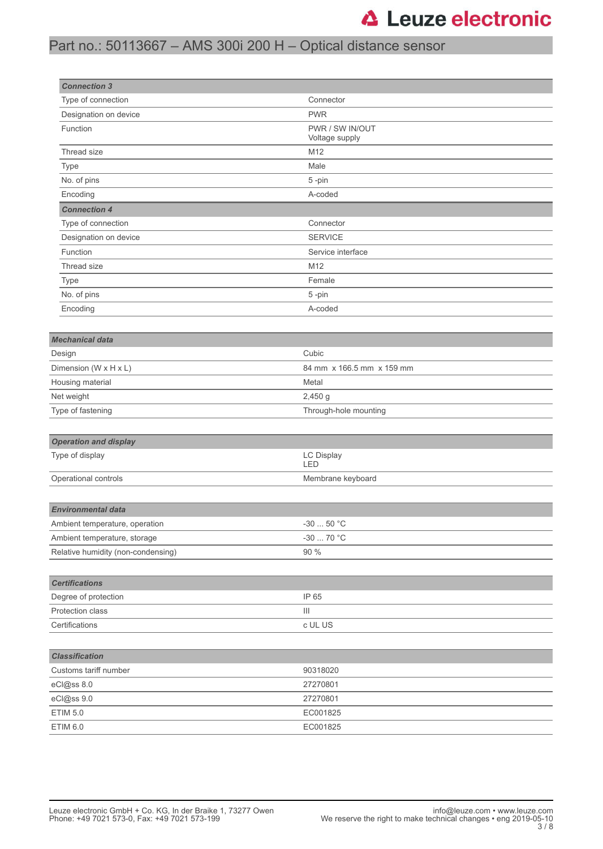## Part no.: 50113667 – AMS 300i 200 H – Optical distance sensor

| <b>Connection 3</b>                |                                   |  |  |
|------------------------------------|-----------------------------------|--|--|
| Type of connection                 | Connector                         |  |  |
| Designation on device              | <b>PWR</b>                        |  |  |
| Function                           | PWR / SW IN/OUT<br>Voltage supply |  |  |
| Thread size                        | M12                               |  |  |
| Type                               | Male                              |  |  |
| No. of pins                        | 5-pin                             |  |  |
| Encoding                           | A-coded                           |  |  |
| <b>Connection 4</b>                |                                   |  |  |
| Type of connection                 | Connector                         |  |  |
| Designation on device              | <b>SERVICE</b>                    |  |  |
| Function                           | Service interface                 |  |  |
| Thread size                        | M12                               |  |  |
| Type                               | Female                            |  |  |
| No. of pins                        | 5-pin                             |  |  |
| Encoding                           | A-coded                           |  |  |
|                                    |                                   |  |  |
| <b>Mechanical data</b>             |                                   |  |  |
| Design                             | Cubic                             |  |  |
| Dimension (W x H x L)              | 84 mm x 166.5 mm x 159 mm         |  |  |
| Housing material                   | Metal                             |  |  |
| Net weight                         | $2,450$ g                         |  |  |
| Type of fastening                  | Through-hole mounting             |  |  |
|                                    |                                   |  |  |
| <b>Operation and display</b>       |                                   |  |  |
| Type of display                    | <b>LC Display</b><br>LED          |  |  |
| Operational controls               | Membrane keyboard                 |  |  |
|                                    |                                   |  |  |
| <b>Environmental data</b>          |                                   |  |  |
| Ambient temperature, operation     | $-3050$ °C                        |  |  |
| Ambient temperature, storage       | $-30$ 70 °C                       |  |  |
| Relative humidity (non-condensing) | 90 %                              |  |  |
|                                    |                                   |  |  |
| <b>Certifications</b>              |                                   |  |  |
| Degree of protection               | IP 65                             |  |  |
| Protection class                   | Ш                                 |  |  |
| Certifications                     | c UL US                           |  |  |
|                                    |                                   |  |  |
| <b>Classification</b>              |                                   |  |  |
| Customs tariff number              | 90318020                          |  |  |
| eCl@ss 8.0                         | 27270801                          |  |  |
| eCl@ss 9.0                         | 27270801                          |  |  |
| <b>ETIM 5.0</b>                    | EC001825                          |  |  |
| <b>ETIM 6.0</b>                    | EC001825                          |  |  |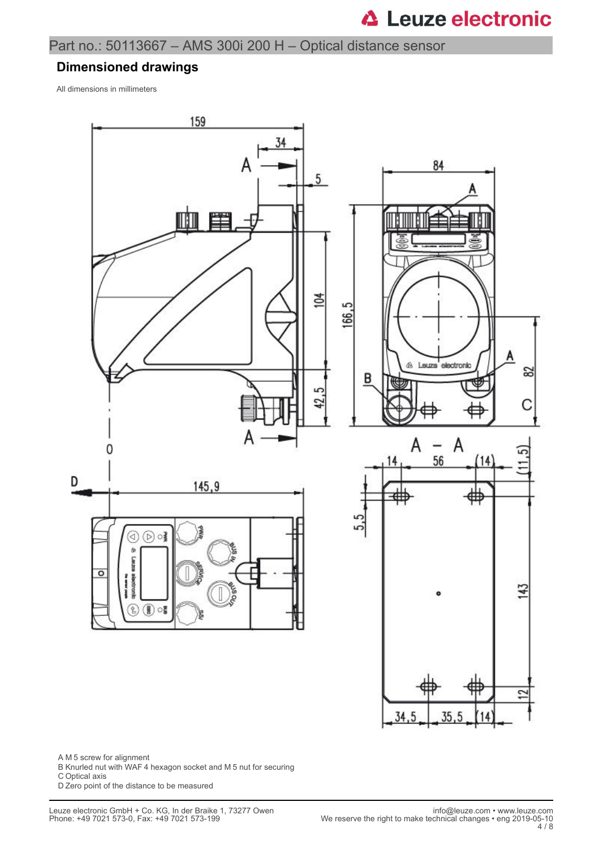## Part no.: 50113667 – AMS 300i 200 H – Optical distance sensor

#### **Dimensioned drawings**

All dimensions in millimeters



A M 5 screw for alignment

- B Knurled nut with WAF 4 hexagon socket and M 5 nut for securing
- C Optical axis

D Zero point of the distance to be measured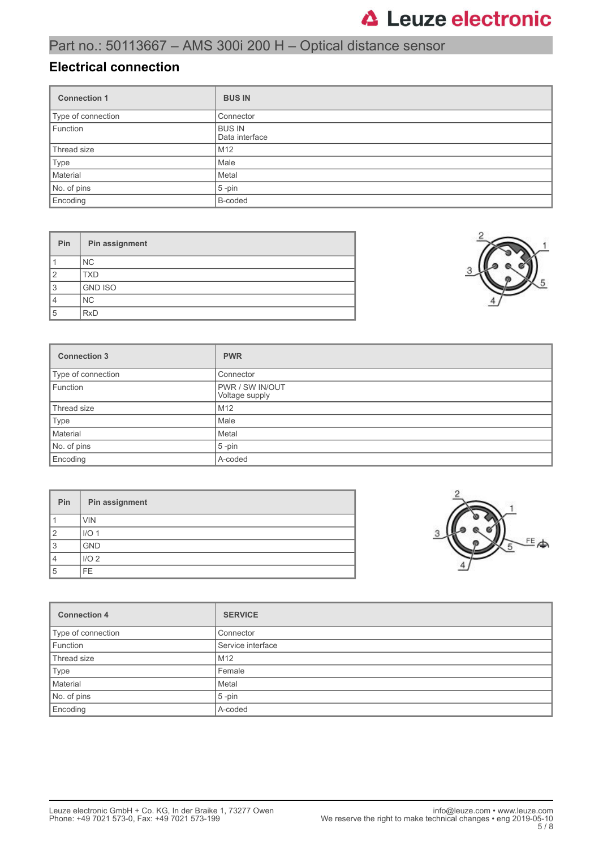# Part no.: 50113667 – AMS 300i 200 H – Optical distance sensor

### **Electrical connection**

| <b>Connection 1</b> | <b>BUS IN</b>                   |  |
|---------------------|---------------------------------|--|
| Type of connection  | Connector                       |  |
| Function            | <b>BUS IN</b><br>Data interface |  |
| Thread size         | M12                             |  |
| Type                | Male                            |  |
| Material            | Metal                           |  |
| No. of pins         | $5$ -pin                        |  |
| Encoding            | B-coded                         |  |

| Pin            | Pin assignment |
|----------------|----------------|
|                | NC.            |
| $\overline{2}$ | <b>TXD</b>     |
| 3              | <b>GND ISO</b> |
| $\overline{4}$ | <b>NC</b>      |
| 5              | <b>RxD</b>     |



| <b>Connection 3</b> | <b>PWR</b>                               |  |
|---------------------|------------------------------------------|--|
| Type of connection  | Connector                                |  |
| Function            | <b>PWR / SW IN/OUT</b><br>Voltage supply |  |
| Thread size         | M <sub>12</sub>                          |  |
| Type                | Male                                     |  |
| Material            | Metal                                    |  |
| No. of pins         | $5$ -pin                                 |  |
| Encoding            | A-coded                                  |  |

| Pin            | Pin assignment   |  |  |  |
|----------------|------------------|--|--|--|
|                | <b>VIN</b>       |  |  |  |
| $\overline{2}$ | I/O <sub>1</sub> |  |  |  |
| 3              | <b>GND</b>       |  |  |  |
| 4              | I/O <sub>2</sub> |  |  |  |
| 5              | FE.              |  |  |  |



| <b>Connection 4</b> | <b>SERVICE</b>    |  |  |
|---------------------|-------------------|--|--|
| Type of connection  | Connector         |  |  |
| Function            | Service interface |  |  |
| Thread size         | M <sub>12</sub>   |  |  |
| Type                | Female            |  |  |
| Material            | Metal             |  |  |
| No. of pins         | $5$ -pin          |  |  |
| Encoding            | A-coded           |  |  |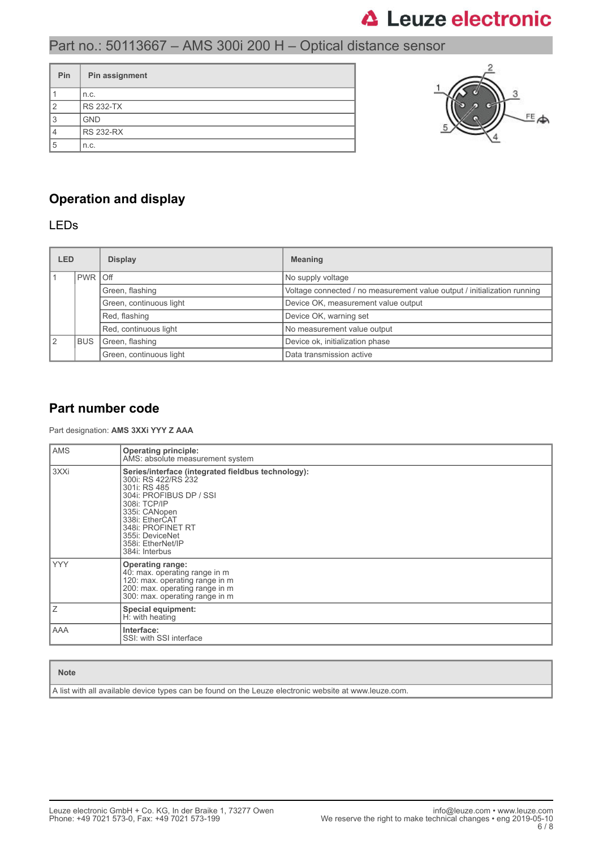# Part no.: 50113667 – AMS 300i 200 H – Optical distance sensor

| Pin | Pin assignment   |  |  |  |
|-----|------------------|--|--|--|
|     | n.c.             |  |  |  |
| 2   | <b>RS 232-TX</b> |  |  |  |
| 3   | <b>GND</b>       |  |  |  |
|     | <b>RS 232-RX</b> |  |  |  |
| 5   | n.c.             |  |  |  |



### **Operation and display**

### LEDs

| LED<br><b>Display</b>   |                                                                  |  | <b>Meaning</b>                                                           |
|-------------------------|------------------------------------------------------------------|--|--------------------------------------------------------------------------|
|                         | PWR Off                                                          |  | No supply voltage                                                        |
|                         | Green, flashing                                                  |  | Voltage connected / no measurement value output / initialization running |
|                         | Green, continuous light<br>Red, flashing                         |  | Device OK, measurement value output                                      |
|                         |                                                                  |  | Device OK, warning set                                                   |
| Red, continuous light   |                                                                  |  | No measurement value output                                              |
| $\sqrt{2}$              | Device ok, initialization phase<br>Green, flashing<br><b>BUS</b> |  |                                                                          |
| Green, continuous light |                                                                  |  | Data transmission active                                                 |

### **Part number code**

#### Part designation: **AMS 3XXi YYY Z AAA**

| <b>AMS</b> | <b>Operating principle:</b><br>AMS: absolute measurement system                                                                                                                                                                                        |  |  |  |  |
|------------|--------------------------------------------------------------------------------------------------------------------------------------------------------------------------------------------------------------------------------------------------------|--|--|--|--|
| 3XXi       | Series/interface (integrated fieldbus technology):<br>300i: RS 422/RS 232<br>301i: RS 485<br>304i: PROFIBUS DP / SSI<br>308i: TCP/IP<br>335i: CANopen<br>338i: EtherCAT<br>348i: PROFINET RT<br>355i: DeviceNet<br>358i: EtherNet/IP<br>384i: Interbus |  |  |  |  |
| <b>YYY</b> | <b>Operating range:</b><br>40: max. operating range in m<br>120: max. operating range in m<br>200: max. operating range in m<br>300: max. operating range in m                                                                                         |  |  |  |  |
| Ζ          | Special equipment:<br>H: with heating                                                                                                                                                                                                                  |  |  |  |  |
| AAA        | Interface:<br>SSI: with SSI interface                                                                                                                                                                                                                  |  |  |  |  |

#### **Note**

A list with all available device types can be found on the Leuze electronic website at www.leuze.com.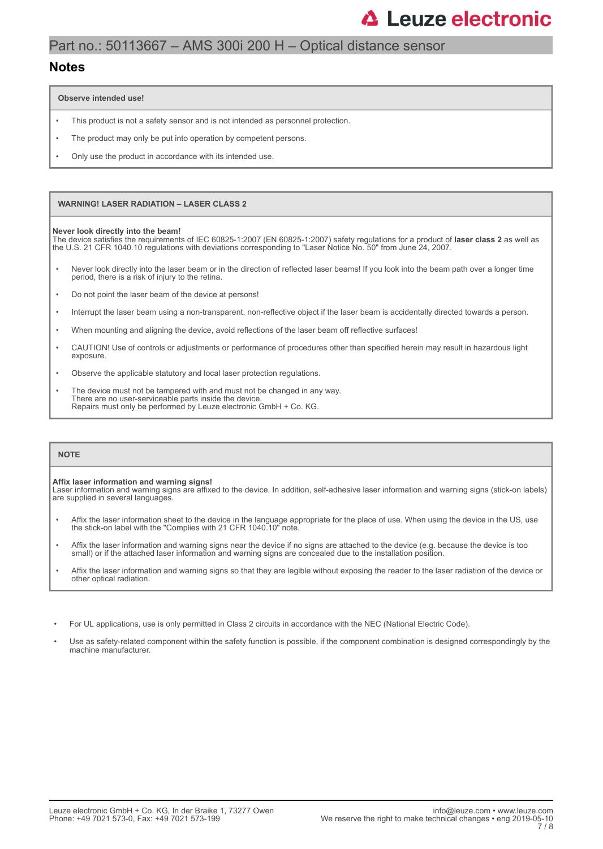# Part no.: 50113667 – AMS 300i 200 H – Optical distance sensor

#### **Notes**

**Observe intended use!**

- This product is not a safety sensor and is not intended as personnel protection.
- The product may only be put into operation by competent persons.
- Only use the product in accordance with its intended use.

#### **WARNING! LASER RADIATION – LASER CLASS 2**

#### **Never look directly into the beam!**

The device satisfies the requirements of IEC 60825-1:2007 (EN 60825-1:2007) safety regulations for a product of **laser class 2** as well as the U.S. 21 CFR 1040.10 regulations with deviations corresponding to "Laser Notice No. 50" from June 24, 2007.

- Never look directly into the laser beam or in the direction of reflected laser beams! If you look into the beam path over a longer time period, there is a risk of injury to the retina.
- Do not point the laser beam of the device at persons!
- Interrupt the laser beam using a non-transparent, non-reflective object if the laser beam is accidentally directed towards a person.
- When mounting and aligning the device, avoid reflections of the laser beam off reflective surfaces!
- CAUTION! Use of controls or adjustments or performance of procedures other than specified herein may result in hazardous light exposure.
- Observe the applicable statutory and local laser protection regulations.
- The device must not be tampered with and must not be changed in any way. There are no user-serviceable parts inside the device. Repairs must only be performed by Leuze electronic GmbH + Co. KG.

#### **NOTE**

#### **Affix laser information and warning signs!**

Laser information and warning signs are affixed to the device. In addition, self-adhesive laser information and warning signs (stick-on labels) are supplied in several languages.

- Affix the laser information sheet to the device in the language appropriate for the place of use. When using the device in the US, use the stick-on label with the "Complies with 21 CFR 1040.10" note.
- Affix the laser information and warning signs near the device if no signs are attached to the device (e.g. because the device is too small) or if the attached laser information and warning signs are concealed due to the installation position.
- Affix the laser information and warning signs so that they are legible without exposing the reader to the laser radiation of the device or other optical radiation.
- For UL applications, use is only permitted in Class 2 circuits in accordance with the NEC (National Electric Code).
- Use as safety-related component within the safety function is possible, if the component combination is designed correspondingly by the machine manufacturer.